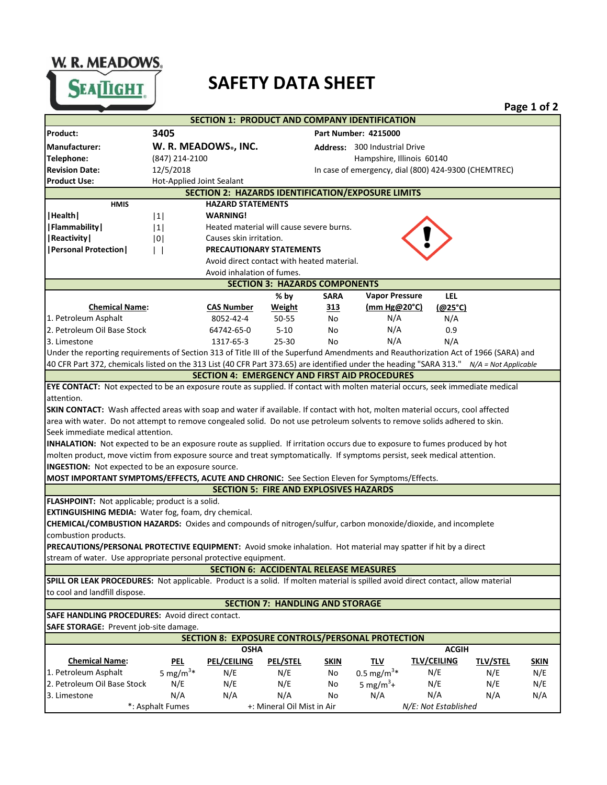W. R. MEADOWS.

**SEAITIGHT** 

**3405**

**Product:** 



**Page 1 of 2**

**Address:** 300 Industrial Drive |1| |1| |0| | | **% by SARA LEL Vapor Pressure CAS Number Weight 313 (@25°C) (mm Hg@20°C)** 8052-42-4 50-55 No N/A 2. Petroleum Oil Base Stock 64742-65-0 5-10 No 0.9 3. Limestone 1317-65-3 25-30 No N/A **MOST IMPORTANT SYMPTOMS/EFFECTS, ACUTE AND CHRONIC:** See Section Eleven for Symptoms/Effects. **Manufacturer: W. R. MEADOWS® , INC. Revision Date:** 12/5/2018 In case of emergency, dial (800) 424-9300 (CHEMTREC) **Telephone:** (847) 214-2100 **EYE CONTACT:** Not expected to be an exposure route as supplied. If contact with molten material occurs, seek immediate medical **|Health| |Reactivity| |Personal Protection| SECTION 3: HAZARDS COMPONENTS Chemical Name:** 1. Petroleum Asphalt N/A N/A N/A Under the reporting requirements of Section 313 of Title III of the Superfund Amendments and Reauthorization Act of 1966 (SARA) and 40 CFR Part 372, chemicals listed on the 313 List (40 CFR Part 373.65) are identified under the heading "SARA 313." *N/A = Not Applicable* |**Flammability**|  $|1|$  Heated material will cause severe burns.  **HMIS HAZARD STATEMENTS** Hampshire, Illinois 60140 **SECTION 4: EMERGENCY AND FIRST AID PROCEDURES** Avoid direct contact with heated material. **WARNING!** Causes skin irritation. **PRECAUTIONARY STATEMENTS** Product Use: **Hot-Applied Joint Sealant** Avoid inhalation of fumes. **SECTION 2: HAZARDS IDENTIFICATION/EXPOSURE LIMITS SKIN CONTACT:** Wash affected areas with soap and water if available. If contact with hot, molten material occurs, cool affected attention. **INHALATION:** Not expected to be an exposure route as supplied. If irritation occurs due to exposure to fumes produced by hot **INGESTION:** Not expected to be an exposure source. **SECTION 5: FIRE AND EXPLOSIVES HAZARDS** area with water. Do not attempt to remove congealed solid. Do not use petroleum solvents to remove solids adhered to skin. molten product, move victim from exposure source and treat symptomatically. If symptoms persist, seek medical attention. **FLASHPOINT:** Not applicable; product is a solid. Seek immediate medical attention.

**EXTINGUISHING MEDIA:** Water fog, foam, dry chemical.

combustion products. **CHEMICAL/COMBUSTION HAZARDS:** Oxides and compounds of nitrogen/sulfur, carbon monoxide/dioxide, and incomplete

stream of water. Use appropriate personal protective equipment. **PRECAUTIONS/PERSONAL PROTECTIVE EQUIPMENT:** Avoid smoke inhalation. Hot material may spatter if hit by a direct

**SECTION 6: ACCIDENTAL RELEASE MEASURES**

**SPILL OR LEAK PROCEDURES:** Not applicable. Product is a solid. If molten material is spilled avoid direct contact, allow material to cool and landfill dispose.

## **SECTION 7: HANDLING AND STORAGE**

**SAFE HANDLING PROCEDURES:** Avoid direct contact. **SAFE STORAGE:** Prevent job-site damage.

| <b>SAIL STORAGE.</b> FICTCHE JOD-SILE GAILIAGE.         |                      |                    |                            |             |                        |                    |                 |             |
|---------------------------------------------------------|----------------------|--------------------|----------------------------|-------------|------------------------|--------------------|-----------------|-------------|
| <b>SECTION 8: EXPOSURE CONTROLS/PERSONAL PROTECTION</b> |                      |                    |                            |             |                        |                    |                 |             |
|                                                         | OSHA                 |                    |                            |             | <b>ACGIH</b>           |                    |                 |             |
| <b>Chemical Name:</b>                                   | PEL                  | <b>PEL/CEILING</b> | <b>PEL/STEL</b>            | <b>SKIN</b> | TLV                    | <b>TLV/CEILING</b> | <b>TLV/STEL</b> | <b>SKIN</b> |
| 1. Petroleum Asphalt                                    | 5 mg/m <sup>3*</sup> | N/E                | N/E                        | No          | 0.5 mg/m <sup>3*</sup> | N/E                | N/E             | N/E         |
| 12. Petroleum Oil Base Stock                            | N/E                  | N/E                | N/E                        | No          | 5 mg/m <sup>3</sup> +  | N/E                | N/E             | N/E         |
| 3. Limestone                                            | N/A                  | N/A                | N/A                        | No          | N/A                    | N/A                | N/A             | N/A         |
| *: Asphalt Fumes                                        |                      |                    | +: Mineral Oil Mist in Air |             | N/E: Not Established   |                    |                 |             |